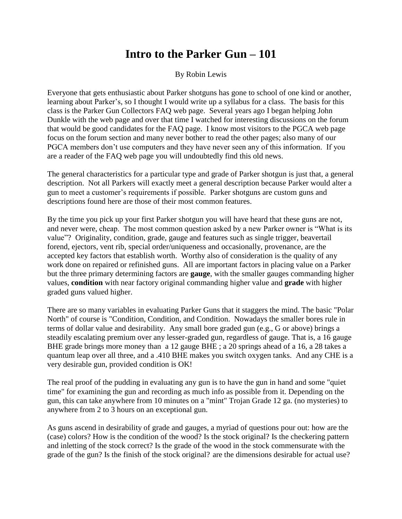## **Intro to the Parker Gun – 101**

By Robin Lewis

Everyone that gets enthusiastic about Parker shotguns has gone to school of one kind or another, learning about Parker's, so I thought I would write up a syllabus for a class. The basis for this class is the Parker Gun Collectors FAQ web page. Several years ago I began helping John Dunkle with the web page and over that time I watched for interesting discussions on the forum that would be good candidates for the FAQ page. I know most visitors to the PGCA web page focus on the forum section and many never bother to read the other pages; also many of our PGCA members don't use computers and they have never seen any of this information. If you are a reader of the FAQ web page you will undoubtedly find this old news.

The general characteristics for a particular type and grade of Parker shotgun is just that, a general description. Not all Parkers will exactly meet a general description because Parker would alter a gun to meet a customer's requirements if possible. Parker shotguns are custom guns and descriptions found here are those of their most common features.

By the time you pick up your first Parker shotgun you will have heard that these guns are not, and never were, cheap. The most common question asked by a new Parker owner is "What is its value"? Originality, condition, grade, gauge and features such as single trigger, beavertail forend, ejectors, vent rib, special order/uniqueness and occasionally, provenance, are the accepted key factors that establish worth. Worthy also of consideration is the quality of any work done on repaired or refinished guns. All are important factors in placing value on a Parker but the three primary determining factors are **gauge**, with the smaller gauges commanding higher values, **condition** with near factory original commanding higher value and **grade** with higher graded guns valued higher.

There are so many variables in evaluating Parker Guns that it staggers the mind. The basic "Polar North" of course is "Condition, Condition, and Condition. Nowadays the smaller bores rule in terms of dollar value and desirability. Any small bore graded gun (e.g., G or above) brings a steadily escalating premium over any lesser-graded gun, regardless of gauge. That is, a 16 gauge BHE grade brings more money than a 12 gauge BHE ; a 20 springs ahead of a 16, a 28 takes a quantum leap over all three, and a .410 BHE makes you switch oxygen tanks. And any CHE is a very desirable gun, provided condition is OK!

The real proof of the pudding in evaluating any gun is to have the gun in hand and some "quiet time" for examining the gun and recording as much info as possible from it. Depending on the gun, this can take anywhere from 10 minutes on a "mint" Trojan Grade 12 ga. (no mysteries) to anywhere from 2 to 3 hours on an exceptional gun.

As guns ascend in desirability of grade and gauges, a myriad of questions pour out: how are the (case) colors? How is the condition of the wood? Is the stock original? Is the checkering pattern and inletting of the stock correct? Is the grade of the wood in the stock commensurate with the grade of the gun? Is the finish of the stock original? are the dimensions desirable for actual use?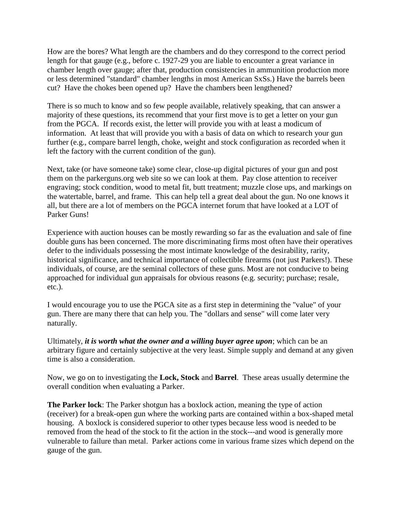How are the bores? What length are the chambers and do they correspond to the correct period length for that gauge (e.g., before c. 1927-29 you are liable to encounter a great variance in chamber length over gauge; after that, production consistencies in ammunition production more or less determined "standard" chamber lengths in most American SxSs.) Have the barrels been cut? Have the chokes been opened up? Have the chambers been lengthened?

There is so much to know and so few people available, relatively speaking, that can answer a majority of these questions, its recommend that your first move is to get a letter on your gun from the PGCA. If records exist, the letter will provide you with at least a modicum of information. At least that will provide you with a basis of data on which to research your gun further (e.g., compare barrel length, choke, weight and stock configuration as recorded when it left the factory with the current condition of the gun).

Next, take (or have someone take) some clear, close-up digital pictures of your gun and post them on the parkerguns.org web site so we can look at them. Pay close attention to receiver engraving; stock condition, wood to metal fit, butt treatment; muzzle close ups, and markings on the watertable, barrel, and frame. This can help tell a great deal about the gun. No one knows it all, but there are a lot of members on the PGCA internet forum that have looked at a LOT of Parker Guns!

Experience with auction houses can be mostly rewarding so far as the evaluation and sale of fine double guns has been concerned. The more discriminating firms most often have their operatives defer to the individuals possessing the most intimate knowledge of the desirability, rarity, historical significance, and technical importance of collectible firearms (not just Parkers!). These individuals, of course, are the seminal collectors of these guns. Most are not conducive to being approached for individual gun appraisals for obvious reasons (e.g. security; purchase; resale, etc.).

I would encourage you to use the PGCA site as a first step in determining the "value" of your gun. There are many there that can help you. The "dollars and sense" will come later very naturally.

Ultimately, *it is worth what the owner and a willing buyer agree upon*; which can be an arbitrary figure and certainly subjective at the very least. Simple supply and demand at any given time is also a consideration.

Now, we go on to investigating the **Lock, Stock** and **Barrel**. These areas usually determine the overall condition when evaluating a Parker.

**The Parker lock**: The Parker shotgun has a boxlock action, meaning the type of action (receiver) for a break-open gun where the working parts are contained within a box-shaped metal housing. A boxlock is considered superior to other types because less wood is needed to be removed from the head of the stock to fit the action in the stock---and wood is generally more vulnerable to failure than metal. Parker actions come in various frame sizes which depend on the gauge of the gun.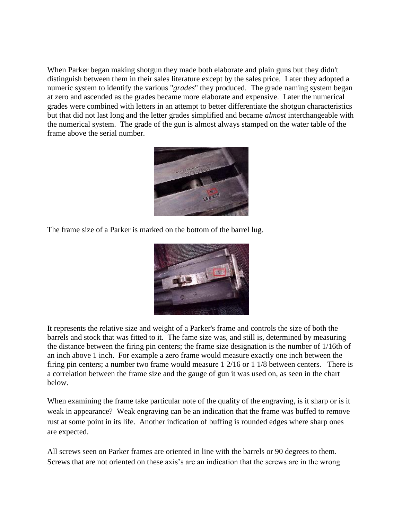When Parker began making shotgun they made both elaborate and plain guns but they didn't distinguish between them in their sales literature except by the sales price. Later they adopted a numeric system to identify the various "*grades*" they produced. The grade naming system began at zero and ascended as the grades became more elaborate and expensive. Later the numerical grades were combined with letters in an attempt to better differentiate the shotgun characteristics but that did not last long and the letter grades simplified and became *almost* interchangeable with the numerical system. The grade of the gun is almost always stamped on the water table of the frame above the serial number.



The frame size of a Parker is marked on the bottom of the barrel lug.



It represents the relative size and weight of a Parker's frame and controls the size of both the barrels and stock that was fitted to it. The fame size was, and still is, determined by measuring the distance between the firing pin centers; the frame size designation is the number of 1/16th of an inch above 1 inch. For example a zero frame would measure exactly one inch between the firing pin centers; a number two frame would measure 1 2/16 or 1 1/8 between centers. There is a correlation between the frame size and the gauge of gun it was used on, as seen in the chart below.

When examining the frame take particular note of the quality of the engraving, is it sharp or is it weak in appearance? Weak engraving can be an indication that the frame was buffed to remove rust at some point in its life. Another indication of buffing is rounded edges where sharp ones are expected.

All screws seen on Parker frames are oriented in line with the barrels or 90 degrees to them. Screws that are not oriented on these axis's are an indication that the screws are in the wrong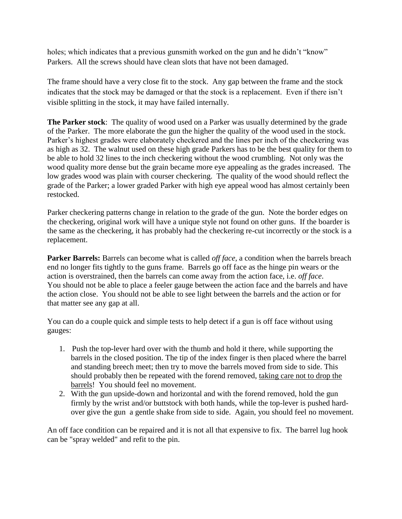holes; which indicates that a previous gunsmith worked on the gun and he didn't "know" Parkers. All the screws should have clean slots that have not been damaged.

The frame should have a very close fit to the stock. Any gap between the frame and the stock indicates that the stock may be damaged or that the stock is a replacement. Even if there isn't visible splitting in the stock, it may have failed internally.

**The Parker stock**: The quality of wood used on a Parker was usually determined by the grade of the Parker. The more elaborate the gun the higher the quality of the wood used in the stock. Parker's highest grades were elaborately checkered and the lines per inch of the checkering was as high as 32. The walnut used on these high grade Parkers has to be the best quality for them to be able to hold 32 lines to the inch checkering without the wood crumbling. Not only was the wood quality more dense but the grain became more eye appealing as the grades increased. The low grades wood was plain with courser checkering. The quality of the wood should reflect the grade of the Parker; a lower graded Parker with high eye appeal wood has almost certainly been restocked.

Parker checkering patterns change in relation to the grade of the gun. Note the border edges on the checkering, original work will have a unique style not found on other guns. If the boarder is the same as the checkering, it has probably had the checkering re-cut incorrectly or the stock is a replacement.

**Parker Barrels:** Barrels can become what is called *off face,* a condition when the barrels breach end no longer fits tightly to the guns frame. Barrels go off face as the hinge pin wears or the action is overstrained, then the barrels can come away from the action face, i.e. *off face*. You should not be able to place a feeler gauge between the action face and the barrels and have the action close. You should not be able to see light between the barrels and the action or for that matter see any gap at all.

You can do a couple quick and simple tests to help detect if a gun is off face without using gauges:

- 1. Push the top-lever hard over with the thumb and hold it there, while supporting the barrels in the closed position. The tip of the index finger is then placed where the barrel and standing breech meet; then try to move the barrels moved from side to side. This should probably then be repeated with the forend removed, taking care not to drop the barrels! You should feel no movement.
- 2. With the gun upside-down and horizontal and with the forend removed, hold the gun firmly by the wrist and/or buttstock with both hands, while the top-lever is pushed hardover give the gun a gentle shake from side to side. Again, you should feel no movement.

An off face condition can be repaired and it is not all that expensive to fix. The barrel lug hook can be "spray welded" and refit to the pin.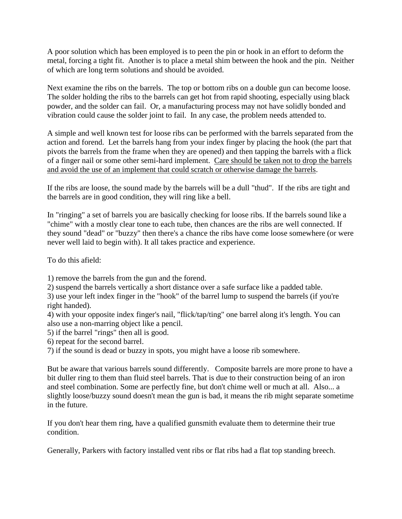A poor solution which has been employed is to peen the pin or hook in an effort to deform the metal, forcing a tight fit. Another is to place a metal shim between the hook and the pin. Neither of which are long term solutions and should be avoided.

Next examine the ribs on the barrels. The top or bottom ribs on a double gun can become loose. The solder holding the ribs to the barrels can get hot from rapid shooting, especially using black powder, and the solder can fail. Or, a manufacturing process may not have solidly bonded and vibration could cause the solder joint to fail. In any case, the problem needs attended to.

A simple and well known test for loose ribs can be performed with the barrels separated from the action and forend. Let the barrels hang from your index finger by placing the hook (the part that pivots the barrels from the frame when they are opened) and then tapping the barrels with a flick of a finger nail or some other semi-hard implement. Care should be taken not to drop the barrels and avoid the use of an implement that could scratch or otherwise damage the barrels.

If the ribs are loose, the sound made by the barrels will be a dull "thud". If the ribs are tight and the barrels are in good condition, they will ring like a bell.

In "ringing" a set of barrels you are basically checking for loose ribs. If the barrels sound like a "chime" with a mostly clear tone to each tube, then chances are the ribs are well connected. If they sound "dead" or "buzzy" then there's a chance the ribs have come loose somewhere (or were never well laid to begin with). It all takes practice and experience.

To do this afield:

1) remove the barrels from the gun and the forend.

2) suspend the barrels vertically a short distance over a safe surface like a padded table.

3) use your left index finger in the "hook" of the barrel lump to suspend the barrels (if you're right handed).

4) with your opposite index finger's nail, "flick/tap/ting" one barrel along it's length. You can also use a non-marring object like a pencil.

5) if the barrel "rings" then all is good.

6) repeat for the second barrel.

7) if the sound is dead or buzzy in spots, you might have a loose rib somewhere.

But be aware that various barrels sound differently. Composite barrels are more prone to have a bit duller ring to them than fluid steel barrels. That is due to their construction being of an iron and steel combination. Some are perfectly fine, but don't chime well or much at all. Also... a slightly loose/buzzy sound doesn't mean the gun is bad, it means the rib might separate sometime in the future.

If you don't hear them ring, have a qualified gunsmith evaluate them to determine their true condition.

Generally, Parkers with factory installed vent ribs or flat ribs had a flat top standing breech.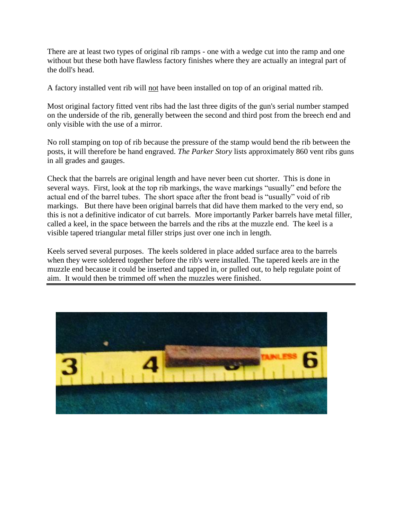There are at least two types of original rib ramps - one with a wedge cut into the ramp and one without but these both have flawless factory finishes where they are actually an integral part of the doll's head.

A factory installed vent rib will not have been installed on top of an original matted rib.

Most original factory fitted vent ribs had the last three digits of the gun's serial number stamped on the underside of the rib, generally between the second and third post from the breech end and only visible with the use of a mirror.

No roll stamping on top of rib because the pressure of the stamp would bend the rib between the posts, it will therefore be hand engraved. *The Parker Story* lists approximately 860 vent ribs guns in all grades and gauges.

Check that the barrels are original length and have never been cut shorter. This is done in several ways. First, look at the top rib markings, the wave markings "usually" end before the actual end of the barrel tubes. The short space after the front bead is "usually" void of rib markings. But there have been original barrels that did have them marked to the very end, so this is not a definitive indicator of cut barrels. More importantly Parker barrels have metal filler, called a keel, in the space between the barrels and the ribs at the muzzle end. The keel is a visible tapered triangular metal filler strips just over one inch in length.

Keels served several purposes. The keels soldered in place added surface area to the barrels when they were soldered together before the rib's were installed. The tapered keels are in the muzzle end because it could be inserted and tapped in, or pulled out, to help regulate point of aim. It would then be trimmed off when the muzzles were finished.

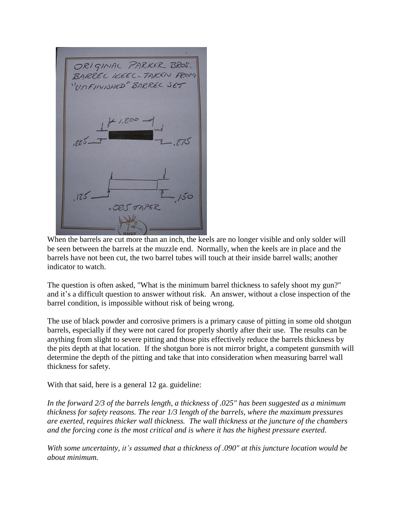ORIGINAL PARKER BROS UnFINIHED

When the barrels are cut more than an inch, the keels are no longer visible and only solder will be seen between the barrels at the muzzle end. Normally, when the keels are in place and the barrels have not been cut, the two barrel tubes will touch at their inside barrel walls; another indicator to watch.

The question is often asked, "What is the minimum barrel thickness to safely shoot my gun?" and it's a difficult question to answer without risk. An answer, without a close inspection of the barrel condition, is impossible without risk of being wrong.

The use of black powder and corrosive primers is a primary cause of pitting in some old shotgun barrels, especially if they were not cared for properly shortly after their use. The results can be anything from slight to severe pitting and those pits effectively reduce the barrels thickness by the pits depth at that location. If the shotgun bore is not mirror bright, a competent gunsmith will determine the depth of the pitting and take that into consideration when measuring barrel wall thickness for safety.

With that said, here is a general 12 ga. guideline:

*In the forward 2/3 of the barrels length, a thickness of .025" has been suggested as a minimum thickness for safety reasons. The rear 1/3 length of the barrels, where the maximum pressures are exerted, requires thicker wall thickness. The wall thickness at the juncture of the chambers and the forcing cone is the most critical and is where it has the highest pressure exerted.*

*With some uncertainty, it's assumed that a thickness of .090" at this juncture location would be about minimum.*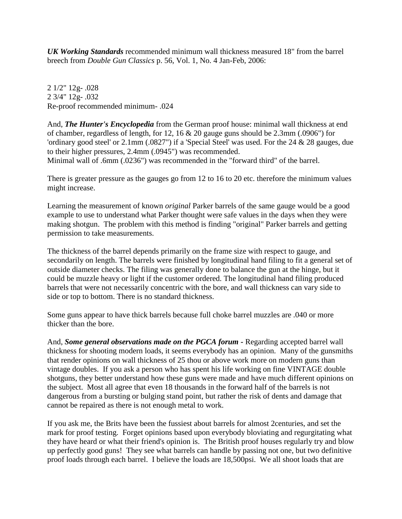*UK Working Standards* recommended minimum wall thickness measured 18" from the barrel breech from *Double Gun Classics* p. 56, Vol. 1, No. 4 Jan-Feb, 2006:

2 1/2" 12g- .028 2 3/4" 12g- .032 Re-proof recommended minimum- .024

And, *The Hunter's Encyclopedia* from the German proof house: minimal wall thickness at end of chamber, regardless of length, for 12, 16 & 20 gauge guns should be 2.3mm (.0906") for 'ordinary good steel' or 2.1mm (.0827") if a 'Special Steel' was used. For the 24 & 28 gauges, due to their higher pressures, 2.4mm (.0945") was recommended. Minimal wall of .6mm (.0236") was recommended in the "forward third" of the barrel.

There is greater pressure as the gauges go from 12 to 16 to 20 etc. therefore the minimum values might increase.

Learning the measurement of known *original* Parker barrels of the same gauge would be a good example to use to understand what Parker thought were safe values in the days when they were making shotgun. The problem with this method is finding "original" Parker barrels and getting permission to take measurements.

The thickness of the barrel depends primarily on the frame size with respect to gauge, and secondarily on length. The barrels were finished by longitudinal hand filing to fit a general set of outside diameter checks. The filing was generally done to balance the gun at the hinge, but it could be muzzle heavy or light if the customer ordered. The longitudinal hand filing produced barrels that were not necessarily concentric with the bore, and wall thickness can vary side to side or top to bottom. There is no standard thickness.

Some guns appear to have thick barrels because full choke barrel muzzles are .040 or more thicker than the bore.

And, *Some general observations made on the PGCA forum -* Regarding accepted barrel wall thickness for shooting modern loads, it seems everybody has an opinion. Many of the gunsmiths that render opinions on wall thickness of 25 thou or above work more on modern guns than vintage doubles. If you ask a person who has spent his life working on fine VINTAGE double shotguns, they better understand how these guns were made and have much different opinions on the subject. Most all agree that even 18 thousands in the forward half of the barrels is not dangerous from a bursting or bulging stand point, but rather the risk of dents and damage that cannot be repaired as there is not enough metal to work.

If you ask me, the Brits have been the fussiest about barrels for almost 2centuries, and set the mark for proof testing. Forget opinions based upon everybody bloviating and regurgitating what they have heard or what their friend's opinion is. The British proof houses regularly try and blow up perfectly good guns! They see what barrels can handle by passing not one, but two definitive proof loads through each barrel. I believe the loads are 18,500psi. We all shoot loads that are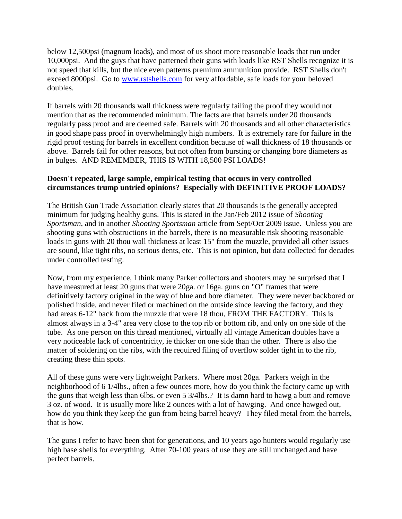below 12,500psi (magnum loads), and most of us shoot more reasonable loads that run under 10,000psi. And the guys that have patterned their guns with loads like RST Shells recognize it is not speed that kills, but the nice even patterns premium ammunition provide. RST Shells don't exceed 8000psi. Go to [www.rstshells.com](http://www.rstshells.com/) for very affordable, safe loads for your beloved doubles.

If barrels with 20 thousands wall thickness were regularly failing the proof they would not mention that as the recommended minimum. The facts are that barrels under 20 thousands regularly pass proof and are deemed safe. Barrels with 20 thousands and all other characteristics in good shape pass proof in overwhelmingly high numbers. It is extremely rare for failure in the rigid proof testing for barrels in excellent condition because of wall thickness of 18 thousands or above. Barrels fail for other reasons, but not often from bursting or changing bore diameters as in bulges. AND REMEMBER, THIS IS WITH 18,500 PSI LOADS!

## **Doesn't repeated, large sample, empirical testing that occurs in very controlled circumstances trump untried opinions? Especially with DEFINITIVE PROOF LOADS?**

The British Gun Trade Association clearly states that 20 thousands is the generally accepted minimum for judging healthy guns. This is stated in the Jan/Feb 2012 issue of *Shooting Sportsman*, and in another *Shooting Sportsman* article from Sept/Oct 2009 issue. Unless you are shooting guns with obstructions in the barrels, there is no measurable risk shooting reasonable loads in guns with 20 thou wall thickness at least 15" from the muzzle, provided all other issues are sound, like tight ribs, no serious dents, etc. This is not opinion, but data collected for decades under controlled testing.

Now, from my experience, I think many Parker collectors and shooters may be surprised that I have measured at least 20 guns that were 20ga. or 16ga. guns on "O" frames that were definitively factory original in the way of blue and bore diameter. They were never backbored or polished inside, and never filed or machined on the outside since leaving the factory, and they had areas 6-12" back from the muzzle that were 18 thou, FROM THE FACTORY. This is almost always in a 3-4" area very close to the top rib or bottom rib, and only on one side of the tube. As one person on this thread mentioned, virtually all vintage American doubles have a very noticeable lack of concentricity, ie thicker on one side than the other. There is also the matter of soldering on the ribs, with the required filing of overflow solder tight in to the rib, creating these thin spots.

All of these guns were very lightweight Parkers. Where most 20ga. Parkers weigh in the neighborhood of 6 1/4lbs., often a few ounces more, how do you think the factory came up with the guns that weigh less than 6lbs. or even 5 3/4lbs.? It is damn hard to hawg a butt and remove 3 oz. of wood. It is usually more like 2 ounces with a lot of hawging. And once hawged out, how do you think they keep the gun from being barrel heavy? They filed metal from the barrels, that is how.

The guns I refer to have been shot for generations, and 10 years ago hunters would regularly use high base shells for everything. After 70-100 years of use they are still unchanged and have perfect barrels.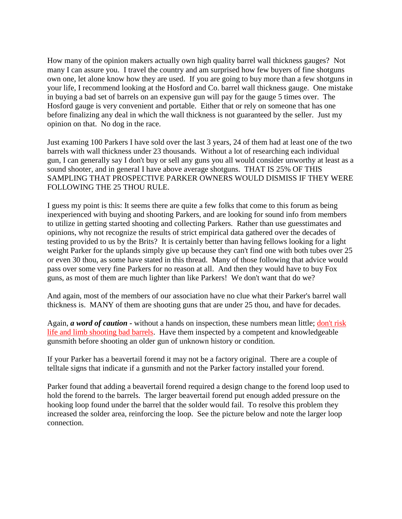How many of the opinion makers actually own high quality barrel wall thickness gauges? Not many I can assure you. I travel the country and am surprised how few buyers of fine shotguns own one, let alone know how they are used. If you are going to buy more than a few shotguns in your life, I recommend looking at the Hosford and Co. barrel wall thickness gauge. One mistake in buying a bad set of barrels on an expensive gun will pay for the gauge 5 times over. The Hosford gauge is very convenient and portable. Either that or rely on someone that has one before finalizing any deal in which the wall thickness is not guaranteed by the seller. Just my opinion on that. No dog in the race.

Just examing 100 Parkers I have sold over the last 3 years, 24 of them had at least one of the two barrels with wall thickness under 23 thousands. Without a lot of researching each individual gun, I can generally say I don't buy or sell any guns you all would consider unworthy at least as a sound shooter, and in general I have above average shotguns. THAT IS 25% OF THIS SAMPLING THAT PROSPECTIVE PARKER OWNERS WOULD DISMISS IF THEY WERE FOLLOWING THE 25 THOU RULE.

I guess my point is this: It seems there are quite a few folks that come to this forum as being inexperienced with buying and shooting Parkers, and are looking for sound info from members to utilize in getting started shooting and collecting Parkers. Rather than use guesstimates and opinions, why not recognize the results of strict empirical data gathered over the decades of testing provided to us by the Brits? It is certainly better than having fellows looking for a light weight Parker for the uplands simply give up because they can't find one with both tubes over 25 or even 30 thou, as some have stated in this thread. Many of those following that advice would pass over some very fine Parkers for no reason at all. And then they would have to buy Fox guns, as most of them are much lighter than like Parkers! We don't want that do we?

And again, most of the members of our association have no clue what their Parker's barrel wall thickness is. MANY of them are shooting guns that are under 25 thou, and have for decades.

Again, *a word of caution -* without a hands on inspection, these numbers mean little; don't risk life and limb shooting bad barrels. Have them inspected by a competent and knowledgeable gunsmith before shooting an older gun of unknown history or condition.

If your Parker has a beavertail forend it may not be a factory original. There are a couple of telltale signs that indicate if a gunsmith and not the Parker factory installed your forend.

Parker found that adding a beavertail forend required a design change to the forend loop used to hold the forend to the barrels. The larger beavertail forend put enough added pressure on the hooking loop found under the barrel that the solder would fail. To resolve this problem they increased the solder area, reinforcing the loop. See the picture below and note the larger loop connection.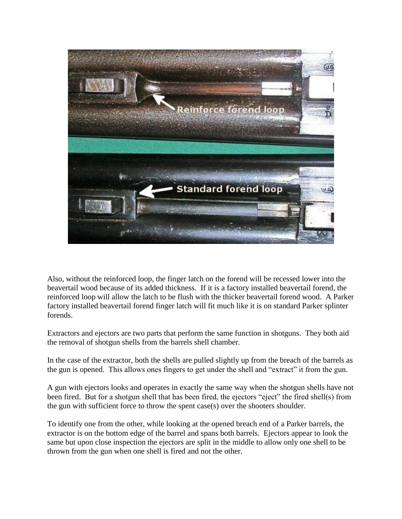

Also, without the reinforced loop, the finger latch on the forend will be recessed lower into the beavertail wood because of its added thickness. If it is a factory installed beavertail forend, the reinforced loop will allow the latch to be flush with the thicker beavertail forend wood. A Parker factory installed beavertail forend finger latch will fit much like it is on standard Parker splinter forends.

Extractors and ejectors are two parts that perform the same function in shotguns. They both aid the removal of shotgun shells from the barrels shell chamber.

In the case of the extractor, both the shells are pulled slightly up from the breach of the barrels as the gun is opened. This allows ones fingers to get under the shell and "extract" it from the gun.

A gun with ejectors looks and operates in exactly the same way when the shotgun shells have not been fired. But for a shotgun shell that has been fired, the ejectors "eject" the fired shell(s) from the gun with sufficient force to throw the spent case(s) over the shooters shoulder.

To identify one from the other, while looking at the opened breach end of a Parker barrels, the extractor is on the bottom edge of the barrel and spans both barrels. Ejectors appear to look the same but upon close inspection the ejectors are split in the middle to allow only one shell to be thrown from the gun when one shell is fired and not the other.